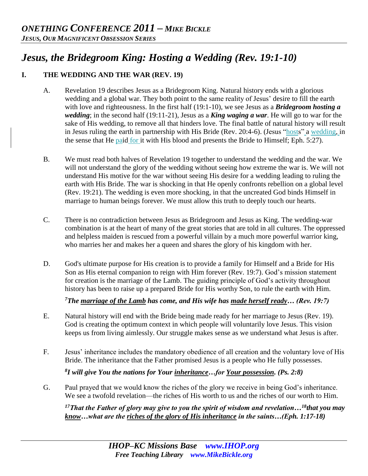# *Jesus, the Bridegroom King: Hosting a Wedding (Rev. 19:1-10)*

## **I. THE WEDDING AND THE WAR (REV. 19)**

- A. Revelation 19 describes Jesus as a Bridegroom King. Natural history ends with a glorious wedding and a global war. They both point to the same reality of Jesus' desire to fill the earth with love and righteousness. In the first half (19:1-10), we see Jesus as a *Bridegroom hosting a wedding*; in the second half (19:11-21), Jesus as a *King waging a war*. He will go to war for the sake of His wedding, to remove all that hinders love. The final battle of natural history will result in Jesus ruling the earth in partnership with His Bride (Rev. 20:4-6). (Jesus "hosts" a wedding, in the sense that He paid for it with His blood and presents the Bride to Himself; Eph. 5:27).
- B. We must read both halves of Revelation 19 together to understand the wedding and the war. We will not understand the glory of the wedding without seeing how extreme the war is. We will not understand His motive for the war without seeing His desire for a wedding leading to ruling the earth with His Bride. The war is shocking in that He openly confronts rebellion on a global level (Rev. 19:21). The wedding is even more shocking, in that the uncreated God binds Himself in marriage to human beings forever. We must allow this truth to deeply touch our hearts.
- C. There is no contradiction between Jesus as Bridegroom and Jesus as King. The wedding-war combination is at the heart of many of the great stories that are told in all cultures. The oppressed and helpless maiden is rescued from a powerful villain by a much more powerful warrior king, who marries her and makes her a queen and shares the glory of his kingdom with her.
- D. God's ultimate purpose for His creation is to provide a family for Himself and a Bride for His Son as His eternal companion to reign with Him forever (Rev. 19:7). God's mission statement for creation is the marriage of the Lamb. The guiding principle of God's activity throughout history has been to raise up a prepared Bride for His worthy Son, to rule the earth with Him.

*<sup>7</sup>The marriage of the Lamb has come, and His wife has made herself ready… (Rev. 19:7)* 

- E. Natural history will end with the Bride being made ready for her marriage to Jesus (Rev. 19). God is creating the optimum context in which people will voluntarily love Jesus. This vision keeps us from living aimlessly. Our struggle makes sense as we understand what Jesus is after.
- F. Jesus' inheritance includes the mandatory obedience of all creation and the voluntary love of His Bride. The inheritance that the Father promised Jesus is a people who He fully possesses.

*8 I will give You the nations for Your inheritance…for Your possession. (Ps. 2:8)*

G. Paul prayed that we would know the riches of the glory we receive in being God's inheritance. We see a twofold revelation—the riches of His worth to us and the riches of our worth to Him.

*<sup>17</sup>That the Father of glory may give to you the spirit of wisdom and revelation…<sup>18</sup>that you may know…what are the riches of the glory of His inheritance in the saints…(Eph. 1:17-18)*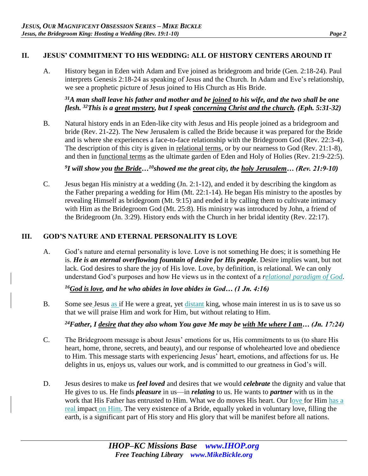## **II. JESUS' COMMITMENT TO HIS WEDDING: ALL OF HISTORY CENTERS AROUND IT**

A. History began in Eden with Adam and Eve joined as bridegroom and bride (Gen. 2:18-24). Paul interprets Genesis 2:18-24 as speaking of Jesus and the Church. In Adam and Eve's relationship, we see a prophetic picture of Jesus joined to His Church as His Bride.

*<sup>31</sup>A man shall leave his father and mother and be joined to his wife, and the two shall be one flesh. <sup>32</sup>This is a great mystery, but I speak concerning Christ and the church. (Eph. 5:31-32)*

B. Natural history ends in an Eden-like city with Jesus and His people joined as a bridegroom and bride (Rev. 21-22). The New Jerusalem is called the Bride because it was prepared for the Bride and is where she experiences a face-to-face relationship with the Bridegroom God (Rev. 22:3-4). The description of this city is given in relational terms, or by our nearness to God (Rev. 21:1-8), and then in functional terms as the ultimate garden of Eden and Holy of Holies (Rev. 21:9-22:5).

*9 I will show you the Bride…<sup>10</sup>showed me the great city, the holy Jerusalem… (Rev. 21:9-10)* 

C. Jesus began His ministry at a wedding (Jn. 2:1-12), and ended it by describing the kingdom as the Father preparing a wedding for Him (Mt. 22:1-14). He began His ministry to the apostles by revealing Himself as bridegroom (Mt. 9:15) and ended it by calling them to cultivate intimacy with Him as the Bridegroom God (Mt. 25:8). His ministry was introduced by John, a friend of the Bridegroom (Jn. 3:29). History ends with the Church in her bridal identity (Rev. 22:17).

## **III. GOD'S NATURE AND ETERNAL PERSONALITY IS LOVE**

A. God's nature and eternal personality is love. Love is not something He does; it is something He is. *He is an eternal overflowing fountain of desire for His people*. Desire implies want, but not lack. God desires to share the joy of His love. Love, by definition, is relational. We can only understand God's purposes and how He views us in the context of a *relational paradigm of God*.

*<sup>16</sup>God is love, and he who abides in love abides in God… (1 Jn. 4:16)* 

B. Some see Jesus as if He were a great, yet distant king, whose main interest in us is to save us so that we will praise Him and work for Him, but without relating to Him.

*<sup>24</sup>Father, I desire that they also whom You gave Me may be with Me where I am… (Jn. 17:24)* 

- C. The Bridegroom message is about Jesus' emotions for us, His commitments to us (to share His heart, home, throne, secrets, and beauty), and our response of wholehearted love and obedience to Him. This message starts with experiencing Jesus' heart, emotions, and affections for us. He delights in us, enjoys us, values our work, and is committed to our greatness in God's will.
- D. Jesus desires to make us *feel loved* and desires that we would *celebrate* the dignity and value that He gives to us. He finds *pleasure* in us—in *relating* to us. He wants to *partner* with us in the work that His Father has entrusted to Him. What we do moves His heart. Our love for Him has a real impact on Him. The very existence of a Bride, equally yoked in voluntary love, filling the earth, is a significant part of His story and His glory that will be manifest before all nations.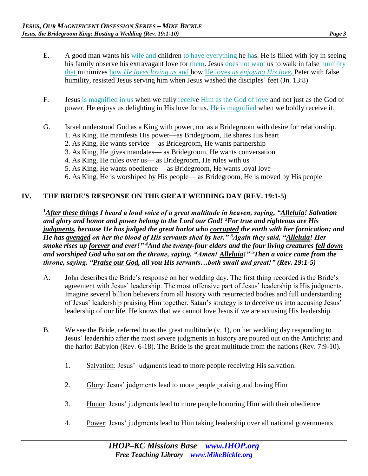- E. A good man wants his wife and children to have everything he has. He is filled with joy in seeing his family observe his extravagant love for them. Jesus does not want us to walk in false humility that minimizes how *He loves loving us* and how He loves *us enjoying His love.* Peter with false humility, resisted Jesus serving him when Jesus washed the disciples' feet (Jn. 13:8)
- F. Jesus is magnified in us when we fully receive Him as the God of love and not just as the God of power. He enjoys us delighting in His love for us. He is magnified when we boldly receive it.
- G. Israel understood God as a King with power, not as a Bridegroom with desire for relationship.
	- 1. As King, He manifests His power—as Bridegroom, He shares His heart
	- 2. As King, He wants service— as Bridegroom, He wants partnership
	- 3. As King, He gives mandates— as Bridegroom, He wants conversation
	- 4. As King, He rules over us— as Bridegroom, He rules with us
	- 5. As King, He wants obedience— as Bridegroom, He wants loyal love
	- 6. As King, He is worshiped by His people— as Bridegroom, He is moved by His people

#### **IV. THE BRIDE'S RESPONSE ON THE GREAT WEDDING DAY (REV. 19:1-5)**

*<sup>1</sup>After these things I heard a loud voice of a great multitude in heaven, saying, "Alleluia! Salvation and glory and honor and power belong to the Lord our God! <sup>2</sup>For true and righteous are His judgments, because He has judged the great harlot who corrupted the earth with her fornication; and He has avenged on her the blood of His servants shed by her." <sup>3</sup>Again they said, "Alleluia! Her smoke rises up forever and ever!" <sup>4</sup>And the twenty-four elders and the four living creatures fell down and worshiped God who sat on the throne, saying, "Amen! Alleluia!" <sup>5</sup>Then a voice came from the throne, saying, "Praise our God, all you His servants…both small and great!" (Rev. 19:1-5)* 

- A. John describes the Bride's response on her wedding day. The first thing recorded is the Bride's agreement with Jesus' leadership. The most offensive part of Jesus' leadership is His judgments. Imagine several billion believers from all history with resurrected bodies and full understanding of Jesus' leadership praising Him together. Satan's strategy is to deceive us into accusing Jesus' leadership of our life. He knows that we cannot love Jesus if we are accusing His leadership.
- B. We see the Bride, referred to as the great multitude (v. 1), on her wedding day responding to Jesus' leadership after the most severe judgments in history are poured out on the Antichrist and the harlot Babylon (Rev. 6-18). The Bride is the great multitude from the nations (Rev. 7:9-10).
	- 1. Salvation: Jesus' judgments lead to more people receiving His salvation.
	- 2. Glory: Jesus' judgments lead to more people praising and loving Him
	- 3. Honor: Jesus' judgments lead to more people honoring Him with their obedience
	- 4. Power: Jesus' judgments lead to Him taking leadership over all national governments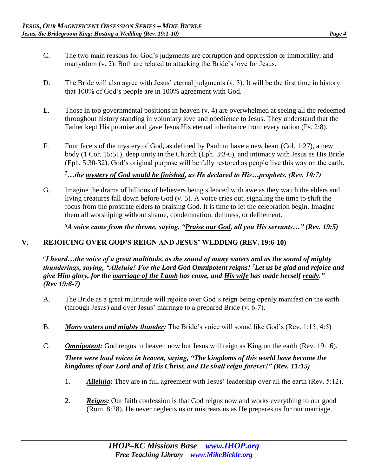- C. The two main reasons for God's judgments are corruption and oppression or immorality, and martyrdom (v. 2). Both are related to attacking the Bride's love for Jesus.
- D. The Bride will also agree with Jesus' eternal judgments (v. 3). It will be the first time in history that 100% of God's people are in 100% agreement with God.
- E. Those in top governmental positions in heaven (v. 4) are overwhelmed at seeing all the redeemed throughout history standing in voluntary love and obedience to Jesus. They understand that the Father kept His promise and gave Jesus His eternal inheritance from every nation (Ps. 2:8).
- F. Four facets of the mystery of God, as defined by Paul: to have a new heart (Col. 1:27), a new body (1 Cor. 15:51), deep unity in the Church (Eph. 3:3-6), and intimacy with Jesus as His Bride (Eph. 5:30-32). God's original purpose will be fully restored as people live this way on the earth.

*<sup>7</sup>…the mystery of God would be finished, as He declared to His…prophets. (Rev. 10:7)* 

G. Imagine the drama of billions of believers being silenced with awe as they watch the elders and living creatures fall down before God (v. 5). A voice cries out, signaling the time to shift the focus from the prostrate elders to praising God. It is time to let the celebration begin. Imagine them all worshiping without shame, condemnation, dullness, or defilement.

*<sup>5</sup>A voice came from the throne, saying, "Praise our God, all you His servants…" (Rev. 19:5)* 

# **V. REJOICING OVER GOD'S REIGN AND JESUS' WEDDING (REV. 19:6-10)**

*6 I heard…the voice of a great multitude, as the sound of many waters and as the sound of mighty thunderings, saying, "Alleluia! For the Lord God Omnipotent reigns! <sup>7</sup>Let us be glad and rejoice and give Him glory, for the marriage of the Lamb has come, and His wife has made herself ready." (Rev 19:6-7)*

- A. The Bride as a great multitude will rejoice over God's reign being openly manifest on the earth (through Jesus) and over Jesus' marriage to a prepared Bride (v. 6-7).
- B. *Many waters and mighty thunder:* The Bride's voice will sound like God's (Rev. 1:15; 4:5)
- C. *Omnipotent:* God reigns in heaven now but Jesus will reign as King on the earth (Rev. 19:16). *There were loud voices in heaven, saying, "The kingdoms of this world have become the kingdoms of our Lord and of His Christ, and He shall reign forever!" (Rev. 11:15)* 
	- 1. *Alleluia***:** They are in full agreement with Jesus' leadership over all the earth (Rev. 5:12).
	- 2. *Reigns:* Our faith confession is that God reigns now and works everything to our good (Rom. 8:28). He never neglects us or mistreats us as He prepares us for our marriage.